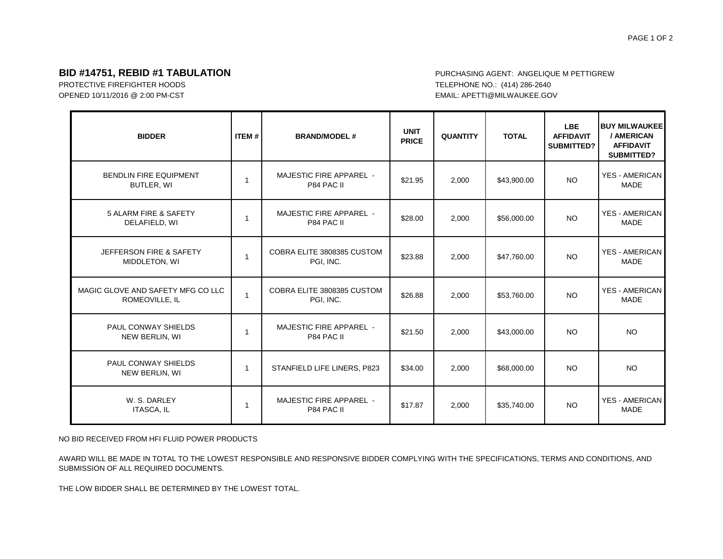## **BID #14751, REBID #1 TABULATION** *BID* **#1 TABULATION PURCHASING AGENT: ANGELIQUE M PETTIGREW**

PROTECTIVE FIREFIGHTER HOODS TELEPHONE NO.: (414) 286-2640 OPENED 10/11/2016 @ 2:00 PM-CST EMAIL: APETTI@MILWAUKEE.GOV

| <b>BIDDER</b>                                       | <b>ITEM#</b>   | <b>BRAND/MODEL#</b>                          | <b>UNIT</b><br><b>PRICE</b> | <b>QUANTITY</b> | <b>TOTAL</b> | <b>LBE</b><br><b>AFFIDAVIT</b><br><b>SUBMITTED?</b> | <b>BUY MILWAUKEE</b><br>/ AMERICAN<br><b>AFFIDAVIT</b><br><b>SUBMITTED?</b> |
|-----------------------------------------------------|----------------|----------------------------------------------|-----------------------------|-----------------|--------------|-----------------------------------------------------|-----------------------------------------------------------------------------|
| <b>BENDLIN FIRE EQUIPMENT</b><br>BUTLER, WI         | 1              | <b>MAJESTIC FIRE APPAREL -</b><br>P84 PAC II | \$21.95                     | 2,000           | \$43,900.00  | NO.                                                 | <b>YES - AMERICAN</b><br><b>MADE</b>                                        |
| 5 ALARM FIRE & SAFETY<br>DELAFIELD, WI              | $\overline{1}$ | <b>MAJESTIC FIRE APPAREL -</b><br>P84 PAC II | \$28.00                     | 2,000           | \$56,000.00  | <b>NO</b>                                           | <b>YES - AMERICAN</b><br>MADE                                               |
| JEFFERSON FIRE & SAFETY<br>MIDDLETON, WI            | $\overline{1}$ | COBRA ELITE 3808385 CUSTOM<br>PGI. INC.      | \$23.88                     | 2,000           | \$47,760.00  | <b>NO</b>                                           | <b>YES - AMERICAN</b><br><b>MADE</b>                                        |
| MAGIC GLOVE AND SAFETY MFG CO LLC<br>ROMEOVILLE, IL | $\overline{1}$ | COBRA ELITE 3808385 CUSTOM<br>PGI, INC.      | \$26.88                     | 2,000           | \$53,760.00  | <b>NO</b>                                           | <b>YES - AMERICAN</b><br><b>MADE</b>                                        |
| PAUL CONWAY SHIELDS<br>NEW BERLIN, WI               | $\overline{1}$ | <b>MAJESTIC FIRE APPAREL -</b><br>P84 PAC II | \$21.50                     | 2,000           | \$43,000.00  | <b>NO</b>                                           | <b>NO</b>                                                                   |
| PAUL CONWAY SHIELDS<br>NEW BERLIN, WI               | $\mathbf{1}$   | STANFIELD LIFE LINERS, P823                  | \$34.00                     | 2,000           | \$68,000.00  | <b>NO</b>                                           | <b>NO</b>                                                                   |
| W. S. DARLEY<br><b>ITASCA, IL</b>                   | $\overline{1}$ | <b>MAJESTIC FIRE APPAREL -</b><br>P84 PAC II | \$17.87                     | 2,000           | \$35,740.00  | <b>NO</b>                                           | <b>YES - AMERICAN</b><br><b>MADE</b>                                        |

NO BID RECEIVED FROM HFI FLUID POWER PRODUCTS

AWARD WILL BE MADE IN TOTAL TO THE LOWEST RESPONSIBLE AND RESPONSIVE BIDDER COMPLYING WITH THE SPECIFICATIONS, TERMS AND CONDITIONS, AND SUBMISSION OF ALL REQUIRED DOCUMENTS.

THE LOW BIDDER SHALL BE DETERMINED BY THE LOWEST TOTAL.